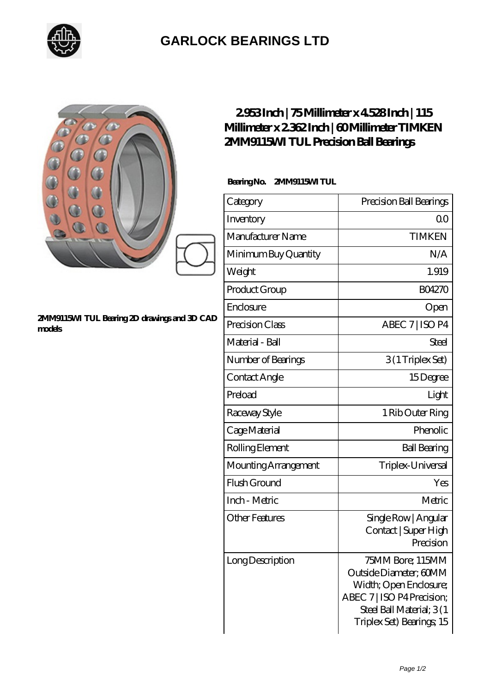

## **[GARLOCK BEARINGS LTD](https://letterstopriests.com)**

| 000°<br>2MM9115M TUL Bearing 2D drawings and 3D CAD<br>models | 2953Inch   75Millimeter x 4528Inch   115<br>Millimeter x 2362Inch   60Millimeter TIMKEN<br>2MM9115M TUL Precision Ball Bearings |                                                                                                                                                              |
|---------------------------------------------------------------|---------------------------------------------------------------------------------------------------------------------------------|--------------------------------------------------------------------------------------------------------------------------------------------------------------|
|                                                               | BearingNo.<br>2MM9115M TUL                                                                                                      |                                                                                                                                                              |
|                                                               | Category                                                                                                                        | Precision Ball Bearings                                                                                                                                      |
|                                                               | Inventory                                                                                                                       | 0 <sub>0</sub>                                                                                                                                               |
|                                                               | Manufacturer Name                                                                                                               | <b>TIMKEN</b>                                                                                                                                                |
|                                                               | Minimum Buy Quantity                                                                                                            | N/A                                                                                                                                                          |
|                                                               | Weight                                                                                                                          | 1.919                                                                                                                                                        |
|                                                               | Product Group                                                                                                                   | <b>BO4270</b>                                                                                                                                                |
|                                                               | Enclosure                                                                                                                       | Open                                                                                                                                                         |
|                                                               | Precision Class                                                                                                                 | ABEC 7   ISO P4                                                                                                                                              |
|                                                               | Material - Ball                                                                                                                 | <b>Steel</b>                                                                                                                                                 |
|                                                               | Number of Bearings                                                                                                              | 3(1 Triplex Set)                                                                                                                                             |
|                                                               | Contact Angle                                                                                                                   | 15Degree                                                                                                                                                     |
|                                                               | Preload                                                                                                                         | Light                                                                                                                                                        |
|                                                               | Raceway Style                                                                                                                   | 1 Rib Outer Ring                                                                                                                                             |
|                                                               | Cage Material                                                                                                                   | Phenolic                                                                                                                                                     |
|                                                               | Rolling Element                                                                                                                 | <b>Ball Bearing</b>                                                                                                                                          |
|                                                               | Mounting Arrangement                                                                                                            | Triplex-Universal                                                                                                                                            |
|                                                               | Flush Ground                                                                                                                    | Yes                                                                                                                                                          |
|                                                               | Inch - Metric                                                                                                                   | Metric                                                                                                                                                       |
|                                                               | <b>Other Features</b>                                                                                                           | Single Row   Angular<br>Contact   Super High<br>Precision                                                                                                    |
|                                                               | Long Description                                                                                                                | 75MM Bore; 115MM<br>Outside Diameter; 60MM<br>Width; Open Enclosure;<br>ABEC 7   ISO P4 Precision;<br>Steel Ball Material; 3(1)<br>Triplex Set) Bearings; 15 |